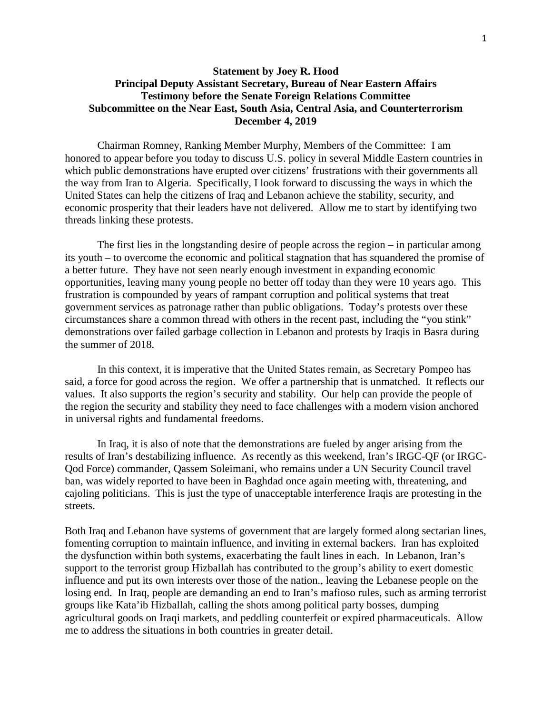## **Statement by Joey R. Hood Principal Deputy Assistant Secretary, Bureau of Near Eastern Affairs Testimony before the Senate Foreign Relations Committee Subcommittee on the Near East, South Asia, Central Asia, and Counterterrorism December 4, 2019**

Chairman Romney, Ranking Member Murphy, Members of the Committee: I am honored to appear before you today to discuss U.S. policy in several Middle Eastern countries in which public demonstrations have erupted over citizens' frustrations with their governments all the way from Iran to Algeria. Specifically, I look forward to discussing the ways in which the United States can help the citizens of Iraq and Lebanon achieve the stability, security, and economic prosperity that their leaders have not delivered. Allow me to start by identifying two threads linking these protests.

The first lies in the longstanding desire of people across the region – in particular among its youth – to overcome the economic and political stagnation that has squandered the promise of a better future. They have not seen nearly enough investment in expanding economic opportunities, leaving many young people no better off today than they were 10 years ago. This frustration is compounded by years of rampant corruption and political systems that treat government services as patronage rather than public obligations. Today's protests over these circumstances share a common thread with others in the recent past, including the "you stink" demonstrations over failed garbage collection in Lebanon and protests by Iraqis in Basra during the summer of 2018.

In this context, it is imperative that the United States remain, as Secretary Pompeo has said, a force for good across the region. We offer a partnership that is unmatched. It reflects our values. It also supports the region's security and stability. Our help can provide the people of the region the security and stability they need to face challenges with a modern vision anchored in universal rights and fundamental freedoms.

In Iraq, it is also of note that the demonstrations are fueled by anger arising from the results of Iran's destabilizing influence. As recently as this weekend, Iran's IRGC-QF (or IRGC-Qod Force) commander, Qassem Soleimani, who remains under a UN Security Council travel ban, was widely reported to have been in Baghdad once again meeting with, threatening, and cajoling politicians. This is just the type of unacceptable interference Iraqis are protesting in the streets.

Both Iraq and Lebanon have systems of government that are largely formed along sectarian lines, fomenting corruption to maintain influence, and inviting in external backers. Iran has exploited the dysfunction within both systems, exacerbating the fault lines in each. In Lebanon, Iran's support to the terrorist group Hizballah has contributed to the group's ability to exert domestic influence and put its own interests over those of the nation., leaving the Lebanese people on the losing end. In Iraq, people are demanding an end to Iran's mafioso rules, such as arming terrorist groups like Kata'ib Hizballah, calling the shots among political party bosses, dumping agricultural goods on Iraqi markets, and peddling counterfeit or expired pharmaceuticals. Allow me to address the situations in both countries in greater detail.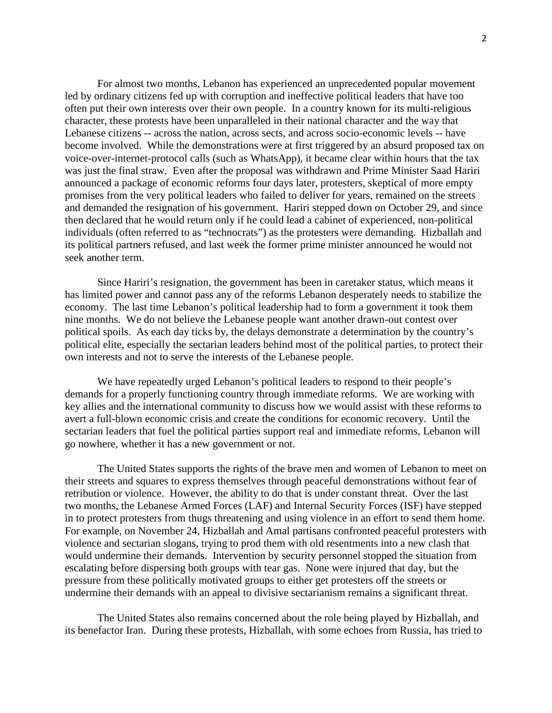For almost two months, Lebanon has experienced an unprecedented popular movement led by ordinary citizens fed up with corruption and ineffective political leaders that have too often put their own interests over their own people. In a country known for its multi-religious character, these protests have been unparalleled in their national character and the way that Lebanese citizens -- across the nation, across sects, and across socio-economic levels -- have become involved. While the demonstrations were at first triggered by an absurd proposed tax on voice-over-internet-protocol calls (such as WhatsApp), it became clear within hours that the tax was just the final straw. Even after the proposal was withdrawn and Prime Minister Saad Hariri announced a package of economic reforms four days later, protesters, skeptical of more empty promises from the very political leaders who failed to deliver for years, remained on the streets and demanded the resignation of his government. Hariri stepped down on October 29, and since then declared that he would return only if he could lead a cabinet of experienced, non-political individuals (often referred to as "technocrats") as the protesters were demanding. Hizballah and its political partners refused, and last week the former prime minister announced he would not seek another term.

Since Hariri's resignation, the government has been in caretaker status, which means it has limited power and cannot pass any of the reforms Lebanon desperately needs to stabilize the economy. The last time Lebanon's political leadership had to form a government it took them nine months. We do not believe the Lebanese people want another drawn-out contest over political spoils. As each day ticks by, the delays demonstrate a determination by the country's political elite, especially the sectarian leaders behind most of the political parties, to protect their own interests and not to serve the interests of the Lebanese people.

We have repeatedly urged Lebanon's political leaders to respond to their people's demands for a properly functioning country through immediate reforms. We are working with key allies and the international community to discuss how we would assist with these reforms to avert a full-blown economic crisis and create the conditions for economic recovery. Until the sectarian leaders that fuel the political parties support real and immediate reforms, Lebanon will go nowhere, whether it has a new government or not.

The United States supports the rights of the brave men and women of Lebanon to meet on their streets and squares to express themselves through peaceful demonstrations without fear of retribution or violence. However, the ability to do that is under constant threat. Over the last two months, the Lebanese Armed Forces (LAF) and Internal Security Forces (ISF) have stepped in to protect protesters from thugs threatening and using violence in an effort to send them home. For example, on November 24, Hizballah and Amal partisans confronted peaceful protesters with violence and sectarian slogans, trying to prod them with old resentments into a new clash that would undermine their demands. Intervention by security personnel stopped the situation from escalating before dispersing both groups with tear gas. None were injured that day, but the pressure from these politically motivated groups to either get protesters off the streets or undermine their demands with an appeal to divisive sectarianism remains a significant threat.

The United States also remains concerned about the role being played by Hizballah, and its benefactor Iran. During these protests, Hizballah, with some echoes from Russia, has tried to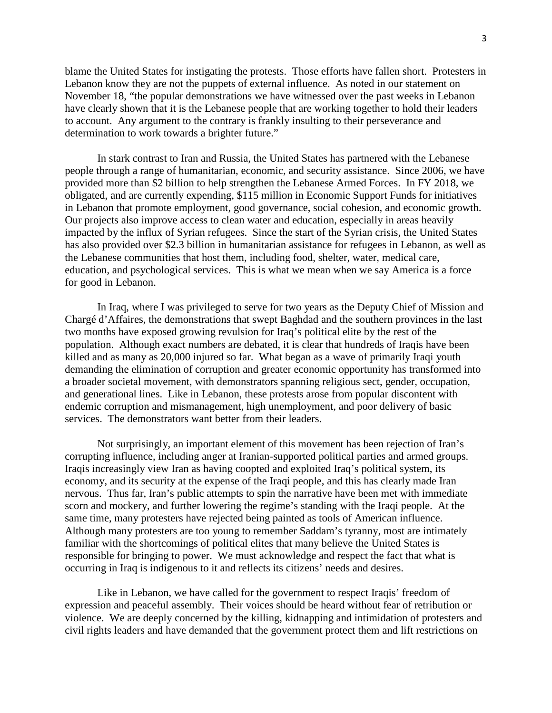blame the United States for instigating the protests. Those efforts have fallen short. Protesters in Lebanon know they are not the puppets of external influence. As noted in our statement on November 18, "the popular demonstrations we have witnessed over the past weeks in Lebanon have clearly shown that it is the Lebanese people that are working together to hold their leaders to account. Any argument to the contrary is frankly insulting to their perseverance and determination to work towards a brighter future."

In stark contrast to Iran and Russia, the United States has partnered with the Lebanese people through a range of humanitarian, economic, and security assistance. Since 2006, we have provided more than \$2 billion to help strengthen the Lebanese Armed Forces. In FY 2018, we obligated, and are currently expending, \$115 million in Economic Support Funds for initiatives in Lebanon that promote employment, good governance, social cohesion, and economic growth. Our projects also improve access to clean water and education, especially in areas heavily impacted by the influx of Syrian refugees. Since the start of the Syrian crisis, the United States has also provided over \$2.3 billion in humanitarian assistance for refugees in Lebanon, as well as the Lebanese communities that host them, including food, shelter, water, medical care, education, and psychological services. This is what we mean when we say America is a force for good in Lebanon.

In Iraq, where I was privileged to serve for two years as the Deputy Chief of Mission and Chargé d'Affaires, the demonstrations that swept Baghdad and the southern provinces in the last two months have exposed growing revulsion for Iraq's political elite by the rest of the population. Although exact numbers are debated, it is clear that hundreds of Iraqis have been killed and as many as 20,000 injured so far. What began as a wave of primarily Iraqi youth demanding the elimination of corruption and greater economic opportunity has transformed into a broader societal movement, with demonstrators spanning religious sect, gender, occupation, and generational lines. Like in Lebanon, these protests arose from popular discontent with endemic corruption and mismanagement, high unemployment, and poor delivery of basic services. The demonstrators want better from their leaders.

Not surprisingly, an important element of this movement has been rejection of Iran's corrupting influence, including anger at Iranian-supported political parties and armed groups. Iraqis increasingly view Iran as having coopted and exploited Iraq's political system, its economy, and its security at the expense of the Iraqi people, and this has clearly made Iran nervous. Thus far, Iran's public attempts to spin the narrative have been met with immediate scorn and mockery, and further lowering the regime's standing with the Iraqi people. At the same time, many protesters have rejected being painted as tools of American influence. Although many protesters are too young to remember Saddam's tyranny, most are intimately familiar with the shortcomings of political elites that many believe the United States is responsible for bringing to power. We must acknowledge and respect the fact that what is occurring in Iraq is indigenous to it and reflects its citizens' needs and desires.

Like in Lebanon, we have called for the government to respect Iraqis' freedom of expression and peaceful assembly. Their voices should be heard without fear of retribution or violence. We are deeply concerned by the killing, kidnapping and intimidation of protesters and civil rights leaders and have demanded that the government protect them and lift restrictions on